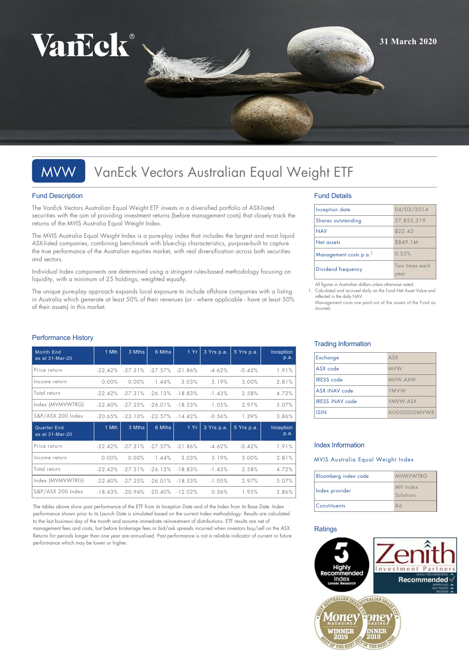

# MVW VanEck Vectors Australian Equal Weight ETF

## Fund Description

The VanEck Vectors Australian Equal Weight ETF invests in a diversified portfolio of ASX-listed securities with the aim of providing investment returns (before management costs) that closely track the returns of the MVIS Australia Equal Weight Index.

The MVIS Australia Equal Weight Index is a pure-play index that includes the largest and most liquid ASX-listed companies, combining benchmark with blue-chip characteristics, purpose-built to capture the true performance of the Australian equities market, with real diversification across both securities and sectors.

Individual Index components are determined using a stringent rules-based methodology focusing on liquidity, with a minimum of 25 holdings, weighted equally.

The unique pure-play approach expands local exposure to include offshore companies with a listing in Australia which generate at least 50% of their revenues (or - where applicable - have at least 50% of their assets) in this market.

| <b>Month End</b><br>as at 31-Mar-20 | 1 Mth     | 3 Mths    | 6 Mths     | 1Yr       | 3 Yrs p.a. | 5 Yrs p.a. | Inception<br>p.a. |
|-------------------------------------|-----------|-----------|------------|-----------|------------|------------|-------------------|
| Price return                        | $-22.42%$ | $-27.31%$ | $-27.57%$  | $-21.86%$ | $-4.62%$   | $-0.42%$   | 1.91%             |
| Income return                       | 0.00%     | 0.00%     | 1.44%      | 3.03%     | 3.19%      | 3.00%      | 2.81%             |
| Total return                        | $-22.42%$ | $-27.31%$ | $-26.13%$  | $-18.83%$ | $-1.43%$   | 2.58%      | 4.72%             |
| Index (MVMVWTRG)                    | $-22.40%$ | $-27.25%$ | $-26.01\%$ | $-18.53%$ | $-1.05%$   | 2.97%      | 5.07%             |
| S&P/ASX 200 Index                   | $-20.65%$ | $-23.10%$ | -22.57%    | $-14.42%$ | $-0.56%$   | 1.39%      | 3.86%             |
|                                     |           |           |            |           |            |            |                   |
| Quarter End<br>as at 31-Mar-20      | 1 Mth     | 3 Mths    | 6 Mths     | 1 Yr      | 3 Yrs p.a. | 5 Yrs p.a. | Inception<br>p.a. |
| Price return                        | $-22.42%$ | $-27.31%$ | $-27.57%$  | $-21.86%$ | $-4.62%$   | $-0.42%$   | 1.91%             |
| Income return                       | 0.00%     | 0.00%     | 1.44%      | 3.03%     | 3.19%      | 3.00%      | 2.81%             |
| Total return                        | $-22.42%$ | $-27.31%$ | $-26.13%$  | $-18.83%$ | $-1.43%$   | 2.58%      | 4.72%             |
| Index (MVMVWTRG)                    | $-22.40%$ | $-27.25%$ | $-26.01\%$ | $-18.53%$ | $-1.05%$   | 2.97%      | 5.07%             |

The tables above show past performance of the ETF from its Inception Date and of the Index from its Base Date. Index performance shown prior to its Launch Date is simulated based on the current Index methodology. Results are calculated to the last business day of the month and assume immediate reinvestment of distributions. ETF results are net of management fees and costs, but before brokerage fees or bid/ask spreads incurred when investors buy/sell on the ASX. Returns for periods longer than one year are annualised. Past performance is not a reliable indicator of current or future performance which may be lower or higher.

## Fund Details

| Inception date        | 04/03/2014             |
|-----------------------|------------------------|
| Shares outstanding    | 37,855,319             |
| <b>NAV</b>            | \$22.43                |
| Net assets            | \$849.1M               |
| Management costs p.a. | 0.35%                  |
| Dividend frequency    | Two times each<br>year |
| $\sim$ 11 $\sim$      |                        |

Il figures in Australian dollars unless otherwise noted

Calculated and accrued daily on the Fund Net Asset Value and reflected in the daily NAV. Management costs are paid out of the assets of the Fund as

## Trading Information

incurred.

| Exchange               | ASX          |
|------------------------|--------------|
| ASX code               | <b>MVW</b>   |
| <b>IRESS</b> code      | MVW.AXW      |
| ASX iNAV code          | YMVW         |
| <b>IRESS INAV code</b> | YMVW.ASX     |
| <b>ISIN</b>            | AU000000MVW8 |

## Index Information

MVIS Australia Equal Weight Index

| Bloomberg index code | <b>MVMVWTRG</b>       |
|----------------------|-----------------------|
| Index provider       | MV Index<br>Solutions |
| <b>Constituents</b>  | 86                    |

## **Ratings**



## Performance History